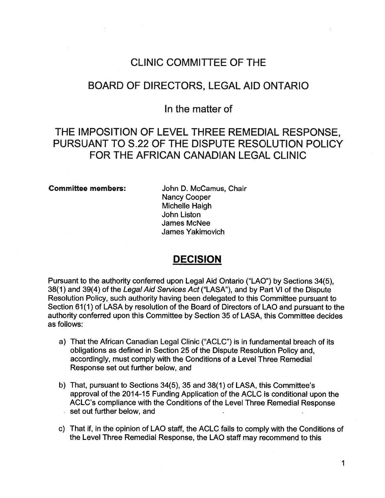# CLINIC COMMITTEE OF THE

# BOARD OF DIRECTORS, LEGAL AID ONTARIO

# In the matter of

# THE IMPOSITION OF LEVEL THREE REMEDIAL RESPONSE, PURSUANT TO S.22 OF THE DISPUTE RESOLUTION POLICY FOR THE AFRICAN CANADIAN LEGAL CLINIC

### Committee members: John D. McCamus, Chair

Nancy Cooper Michelle Haigh John Liston James McNee James Yakimovich

# DECISION

Pursuant to the authority conferred upon Legal Aid Ontario ("LAO") by Sections 34(5), 38(1) and 39(4) of the Legal Aid Services Act ("LASA"), and by Part VI of the Dispute Resolution Policy, such authority having been delegated to this Committee pursuant to Section 61(1) of LASA by resolution of the Board of Directors of LAO and pursuant to the authority conferred upon this Committee by Section 35 of LASA, this Committee decides as follows:

- a) That the African Canadian Legal Clinic ("ACLC") is in fundamental breach of its obligations as defined in Section 25 of the Dispute Resolution Policy and, accordingly, must comply with the Conditions of <sup>a</sup> Level Three Remedial Response set out further below, and
- b) That, pursuant to Sections 34(5), 35 and 38(1) of LASA, this Committee's approval of the 2014-15 Funding Application of the ACLC is conditional upon the ACLC's compliance with the Conditions of the Level Three Remedial Response  $\cdot$  set out further below, and
- c) That if, in the opinion of LAO staff, the ACLC fails to comply with the Conditions of the Level Three Remedial Response, the LAO staff may recommend to this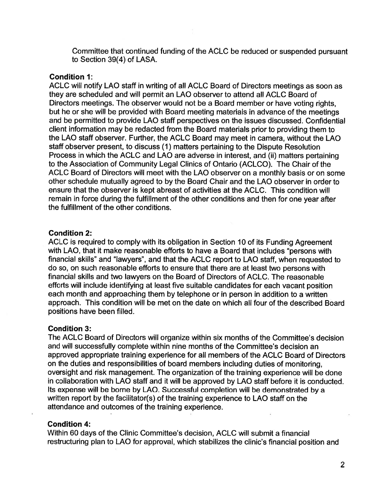Committee that continued funding of the ACLC be reduced or suspended pursuant to Section 39(4) of LASA.

#### Condition 1:

ACLC will notify LAO staff in writing of all ACLC Board of Directors meetings as soon as they are scheduled and will permit an LAO observer to attend all ACLC Board of Directors meetings. The observer would not be <sup>a</sup> Board member or have voting rights, but he or she will be provided with Board meeting materials in advance of the meetings and be permitted to provide LAO staff perspectives on the issues discussed. Confidential client information may be redacted from the Board materials prior to providing them to the LAO staff observer. Further, the ACLC Board may meet in camera, without the LAO staff observer present, to discuss (1) matters pertaining to the Dispute Resolution Process in which the ACLC and LAO are adverse in interest, and (ii) matters pertaining to the Association of Community Legal Clinics of Ontario (ACLCO). The Chair of the ACLC Board of Directors will meet with the LAO observer on <sup>a</sup> monthly basis or on some other schedule mutually agreed to by the Board Chair and the LAO observer in order to ensure that the observer is kept abreast of activities at the ACLC. This condition will remain in force during the fulfillment of the other conditions and then for one year after the fulfillment of the other conditions.

#### Condition 2:

ACLC is required to comply with its obligation in Section 10 of its Funding Agreement with LAO, that it make reasonable efforts to have <sup>a</sup> Board that includes "persons with financial skills" and "lawyers", and that the ACLC report to LAO staff, when requested to do so, on such reasonable efforts to ensure that there are at least two persons with financial skills and two lawyers on the Board of Directors of ACLC. The reasonable efforts will include identifying at least five suitable candidates for each vacant position each month and approaching them by telephone or in person in addition to <sup>a</sup> written approach. This condition will be met on the date on which all four of the described Board positions have been filled.

#### Condition 3:

The ACLC Board of Directors will organize within six months of the Committee's decision and will successfully complete within nine months of the Committee's decision an approved appropriate training experience for all members of the ACLC Board of Directors on the duties and responsibilities of board members including duties of monitoring, oversight and risk management. The organization of the training experience will be done in collaboration with LAO staff and it will be approved by LAO staff before it is conducted. Its expense will be bome by LAO. Successful completion will be demonstrated by <sup>a</sup> written report by the facilitator(s) of the training experience to LAO staff on the attendance and outcomes of the training experience.

#### Condition 4:

Within 60 days of the Clinic Committee's decision, ACLC will submit <sup>a</sup> financial restructuring plan to LAO for approval, which stabilizes the clinic's financial position and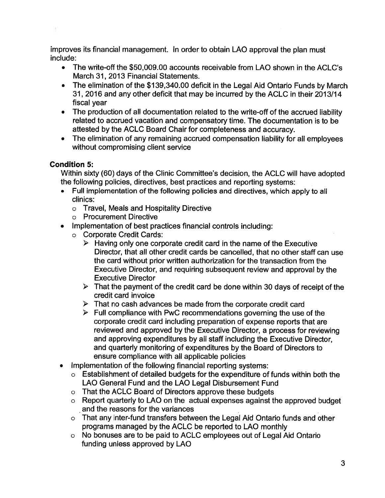improves its financial management. In order to obtain LAO approval the plan must include:

- The write-off the \$50,009.00 accounts receivable from LAO shown in the ACLC's March 31, 2013 Financial Statements.
- The elimination of the \$139,340.00 deficit in the Legal Aid Ontario Funds by March 31 , 2016 and any other deficit that may be incurred by the ACLC in their 2013/14 fiscal vear
- The production of all documentation related to the write-off of the accrued liability related to accrued vacation and compensatory time. The documentation is to be attested by the ACLC Board Chair for completeness and accuracy.
- The elimination of any remaining accrued compensation liability for all employees without compromising client service

# Condition 5:

Within sixty (60) days of the Clinic Committee's decision, the ACLC will have adopted the following policies, directives, best practices and reporting systems:

- Full implementation of the following policies and directives, which apply to all clinics:
	- <sup>o</sup> Travel, Meals and Hospitality Directive
	- o Procurement Directive
- Implementation of best practices financial controls including:
	- <sup>o</sup> Corporate Credit Cards:
		- $\triangleright$  Having only one corporate credit card in the name of the Executive Director, that all other credit cards be cancelled, that no other staff can use the card without prior written authorization for the transaction from the Executive Director, and requiring subsequent review and approval by the Executive Director
		- $\triangleright$  That the payment of the credit card be done within 30 days of receipt of the credit card invoice
		- $\triangleright$  That no cash advances be made from the corporate credit card
		- $\triangleright$  Full compliance with PwC recommendations governing the use of the corporate credit card including preparation of expense reports that are reviewed and approved by the Executive Director, <sup>a</sup> process for reviewing and approving expenditures by all staff including the Executive Director, and quarterly monitoring of expenditures by the Board of Directors to ensure compliance with all applicable policies
- Implementation of the following financial reporting systems:
	- <sup>o</sup> Establishment of detailed budgets for the expenditure of funds within both the LAO General Fund and the LAO Legal Disbursement Fund
	- <sup>o</sup> That the ACLC Board of Directors approve these budgets
	- <sup>o</sup> Report quarterly to LAO on the actual expenses against the approved budget and the reasons for the variances
	- <sup>o</sup> That any inter-fund transfers between the Legal Aid Ontario funds and other programs managed by the ACLC be reported to LAO monthly
	- <sup>o</sup> No bonuses are to be paid to ACLC employees out of Legal Aid Ontario funding unless approved by LAO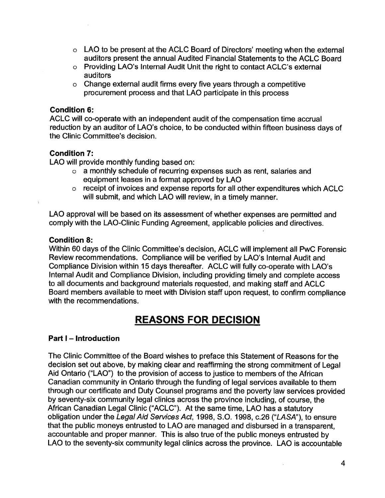- <sup>o</sup> LAO to be present at the ACLC Board of Directors' meeting when the external auditors present the annual Audited Financial Statements to the ACLC Board
- <sup>o</sup> Providing LAO's Internal Audit Unit the right to contact ACLC's external auditors
- <sup>o</sup> Change external audit firms every five years through <sup>a</sup> competitive procurement process and that LAO participate in this process

### Condition 6:

ACLC will co-operate with an independent audit of the compensation time accrual reduction by an auditor of LAO's choice, to be conducted within fifteen business days of the Clinic Committee's decision.

# Condition 7:

LAO will provide monthly funding based on:

- <sup>o</sup> <sup>a</sup> monthly schedule of recurring expenses such as rent, salaries and equipment leases in <sup>a</sup> format approved by LAO
- <sup>o</sup> receipt of invoices and expense reports for all other expenditures which ACLC will submit, and which LAO will review, in <sup>a</sup> timely manner.

LAO approval will be based on its assessment of whether expenses are permitted and comply with the LAO-Clinic Funding Agreement, applicable policies and directives.

### Condition 8:

Within 60 days of the Clinic Committee's decision, ACLC will implement all PwC Forensic Review recommendations. Compliance will be verified by LAO's Internal Audit and Compliance Division within 15 days thereafter. ACLC will fully co-operate with LAO's Internal Audit and Compliance Division, including providing timely and complete access to all documents and background materials requested, and making staff and ACLC Board members available to meet with Division staff upon request, to confirm compliance with the recommendations.

# REASONS FOR DECISION

# Part I — Introduction

The Clinic Committee of the Board wishes to preface this Statement of Reasons for the decision set out above, by making clear and reaffirming the strong commitment of Legal Aid Ontario ("LAO") to the provision of access to justice to members of the African Canadian community in Ontario through the funding of legal services available to them through our certificate and Duty Counsel programs and the poverty law services provided by seventy-six community legal clinics across the province including, of course, the African Canadian Legal Clinic ("ACLC"). At the same time, LAO has <sup>a</sup> statutory obligation under the Legal Aid Services Act, 1998, S.O. 1998, c.26 ("LASA"), to ensure that the public moneys entrusted to LAO are managed and disbursed in <sup>a</sup> transparent, accountable and proper manner. This is also true of the public moneys entrusted by LAO to the seventy-six community legal clinics across the province. LAO is accountable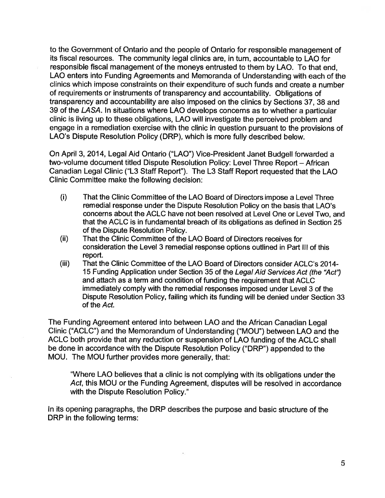to the Government of Ontario and the people of Ontario for responsible management of its fiscal resources. The community legal clinics are, in turn, accountable to LAO for responsible fiscal management of the moneys entrusted to them by LAO. To that end, LAO enters into Funding Agreements and Memoranda of Understanding with each of the clinics which impose constraints on their expenditure of such funds and create <sup>a</sup> number of requirements or instruments of transparency and accountability. Obligations of transparency and accountability are also imposed on the clinics by Sections 37, 38 and 39 of the LASA. In situations where LAO develops concerns as to whether <sup>a</sup> particular clinic is living up to these obligations, LAO will investigate the perceived problem and engage in <sup>a</sup> remediation exercise with the clinic in question pursuant to the provisions of LAO's Dispute Resolution Policy (DRP), which is more fully described below.

On April 3, 2014, Legal Aid Ontario ("LAO") Vice-President Janet Budgell forwarded <sup>a</sup> two-volume document titled Dispute Resolution Policy: Level Three Report - African Canadian Legal Clinic ("L3 Staff Report"). The L3 Staff Report requested that the LAO Clinic Committee make the following decision:

- (i) That the Clinic Committee of the LAO Board of Directors impose <sup>a</sup> Level Three remedial response under the Dispute Resolution Policy on the basis that LAO's concerns about the ACLC have not been resolved at Level One or Level Two, and that the ACLC is in fundamental breach of its obligations as defined in Section 25 of the Dispute Resolution Policy.
- (ii) That the Clinic Committee of the LAO Board of Directors receives for consideration the Level 3 remedial response options outlined in Part III of this report.
- (iii) That the Clinic Committee of the LAO Board of Directors consider ACLC's 2014- 15 Funding Application under Section 35 of the Legal Aid Services Act (the "Act') and attach as a term and condition of funding the requirement that ACLC immediately comply with the remedial responses imposed under Level 3 of the Dispute Resolution Policy, failing which its funding will be denied under Section 33 of the Act.

The Funding Agreement entered into between LAO and the African Canadian Legal Clinic ("ACLC") and the Memorandum of Understanding ("MOU") between LAO and the ACLC both provide that any reduction or suspension of LAO funding of the ACLC shall be done in accordance with the Dispute Resolution Policy ("DRP") appended to the MOU. The MOU further provides more generally, that:

"Where LAO believes that <sup>a</sup> clinic is not complying with its obligations under the Act, this MOU or the Funding Agreement, disputes will be resolved in accordance with the Dispute Resolution Policy."

In its opening paragraphs, the DRP describes the purpose and basic structure of the DRP in the following terms: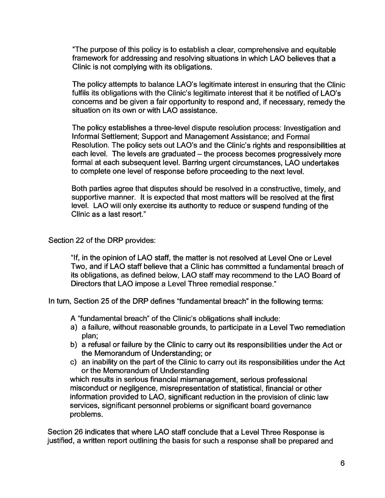"The purpose of this policy is to establish <sup>a</sup> clear, comprehensive and equitable framework for addressing and resolving situations in which LAO believes that <sup>a</sup> Clinic is not complying with its obligations.

The policy attempts to balance LAO's legitimate interest in ensuring that the Clinic fulfils its obligations with the Clinic's legitimate interest that it be notified of LAO's concerns and be given <sup>a</sup> fair opportunity to respond and, if necessary, remedy the situation on its own or with LAO assistance.

The policy establishes <sup>a</sup> three-level dispute resolution process: Investigation and Informal Settlement; Support and Management Assistance; and Formal Resolution. The policy sets out LAO's and the Clinic's rights and responsibilities at each level. The levels are graduated — the process becomes progressively more formal at each subsequent level. Barring urgent circumstances, LAO undertakes to complete one level of response before proceeding to the next level.

Both parties agree that disputes should be resolved in <sup>a</sup> constructive, timely, and supportive manner. It is expected that most matters will be resolved at the first level. LAO will only exercise its authority to reduce or suspend funding of the Clinic as a last resort."

# Section 22 of the DRP provides:

"lf, in the opinion of LAO staff, the matter is not resolved at Level One or Level Two, and if LAO staff believe that <sup>a</sup> Clinic has committed <sup>a</sup> fundamental breach of its obligations, as defined below, LAO staff may recommend to the LAO Board of Directors that LAO impose <sup>a</sup> Level Three remedial response."

In turn, Section 25 of the DRP defines "fundamentaI breach" in the following terms:

A "fundamental breach" of the Clinic's obligations shall include:

- a) <sup>a</sup> failure, without reasonable grounds, to participate in <sup>a</sup> Level Two remediation plan;
- b) <sup>a</sup> refusal or failure by the Clinic to carry out its responsibilities under the Act or the Memorandum of Understanding; or
- c) an inability on the part of the Clinic to carry out its responsibilities under the Act or the Memorandum of Understanding

which results in serious financial mismanagement, serious professional misconduct or negligence, misrepresentation of statistical, financial or other information provided to LAO, significant reduction in the provision of clinic law services, significant personnel problems or significant board governance problems.

Section 26 indicates that where LAO staff conclude that a Level Three Response is justified, a written report outlining the basis for such a response shall be prepared and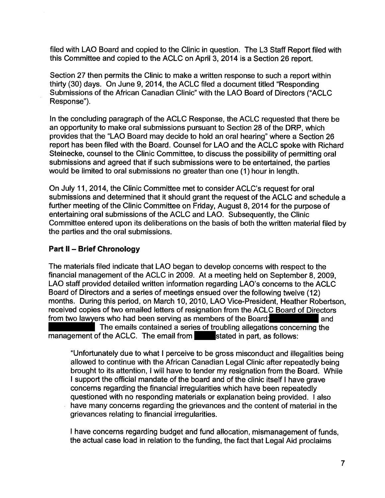filed with LAO Board and copied to the Clinic in question. The L3 Staff Report filed with this Committee and copied to the ACLC on April 3, 2014 is <sup>a</sup> Section 26 report.

Section 27 then permits the Clinic to make <sup>a</sup> written response to such <sup>a</sup> report within thirty (30) days. On June 9, 2014, the ACLC filed <sup>a</sup> document titled "Responding Submissions of the African Canadian Clinic" with the LAO Board of Directors ("ACLC Response").

In the concluding paragraph of the ACLC Response, the ACLC requested that there be an opportunity to make oral submissions pursuant to Section 28 of the DRP, which provides that the "LAO Board may decide to hold an oral hearing" where <sup>a</sup> Section 26 report has been filed with the Board. Counsel for LAO and the ACLC spoke with Richard Steinecke, counsel to the Clinic Committee, to discuss the possibility of permitting oral submissions and agreed that if such submissions were to be entertained, the parties would be limited to oral submissions no greater than one (1) hour in length.

On July 11, 2014, the Clinic Committee met to consider ACLC's request for oral submissions and determined that it should grant the request of the ACLC and schedule <sup>a</sup> further meeting of the Clinic Committee on Friday, August 8, 2014 for the purpose of entertaining oral submissions of the ACLC and LAO. Subsequently, the Clinic Committee entered upon its deliberations on the basis of both the written material filed by the parties and the oral submissions.

# Part II - Brief Chronology

The materials filed indicate that LAO began to develop concerns with respect to the financial management of the ACLC in 2009. At <sup>a</sup> meeting held on September 8, 2009, LAO staff provided detailed written information regarding LAO's concerns to the ACLC Board of Directors and <sup>a</sup> series of meetings ensued over the following twelve (12) months. During this period, on March 10, 2010, LAO Vice-President, Heather Robertson, received copies of two emailed letters of resignation from the ACLC Board of Directors from two lawyers who had been serving as members of the Board: and

The emails contained a series of troubling allegations concerning the management of the ACLC. The email from stated in part, as follows:

"Unfortunately due to what I perceive to be gross misconduct and illegalities being allowed to continue with the African Canadian Legal Clinic after repeatedly being brought to its attention, <sup>I</sup> will have to tender my resignation from the Board. While I support the official mandate of the board and of the clinic itself I have grave concerns regarding the financial irregularities which have been repeatedly questioned with no responding materials or explanation being provided. I also have many concerns regarding the grievances and the content of material in the grievances relating to financial irregularities.

I have concerns regarding budget and fund allocation, mismanagement of funds, the actual case load in relation to the funding, the fact that Legal Aid proclaims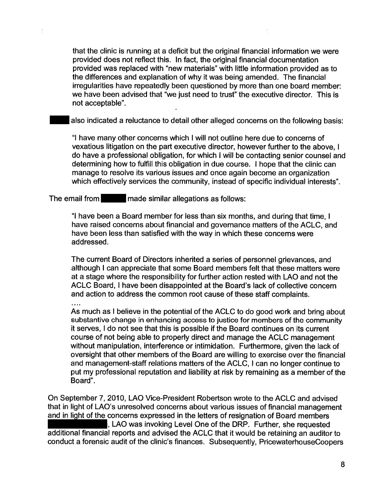that the clinic is running at <sup>a</sup> deficit but the original financial information we were provided does not reflect this. In fact, the original financial documentation provided was replaced with "new materials" with little information provided as to the differences and explanation of why it was being amended. The financial irregularities have repeatedly been questioned by more than one board member: we have been advised that "we just need to trust" the executive director. This is not acceptabIe".

also indicated <sup>a</sup> reluctance to detail other alleged concerns on the following basis:

"I have many other concerns which I will not outline here due to concerns of vexatious litigation on the part executive director, however further to the above, I do have <sup>a</sup> professional obligation, for which I will be contacting senior counsel and determining how to fulfill this obligation in due course. I hope that the clinic can manage to resolve its various issues and once again become an organization which effectively services the community, instead of specific individual interests".

The email from made similar allegations as follows:

"l have been <sup>a</sup> Board member for less than six months, and during that time, I have raised concerns about financial and governance matters of the ACLC, and have been less than satisfied with the way in which these concems were addressed.

The current Board of Directors inherited <sup>a</sup> series of personnel grievances, and although I can appreciate that some Board members felt that these matters were at <sup>a</sup> stage where the responsibility for further action rested with LAO and not the ACLC Board, I have been disappointed at the Board's lack of collective concern and action to address the common root cause of these staff complaints.

As much as I believe in the potential of the ACLC to do good work and bring about substantive change in enhancing access to justice for members of the community it serves, I do not see that this is possible if the Board continues on its current course of not being able to properly direct and manage the ACLC management without manipulation, interference or intimidation. Furthermore, given the lack of oversight that other members of the Board are willing to exercise over the financial and management-staff relations matters of the ACLC, I can no longer continue to put my professional reputation and liability at risk by remaining as <sup>a</sup> member of the Board".

On September 7, 2010, LAO Vice-President Robertson wrote to the ACLC and advised that in light of LAO's unresolved concerns about various issues of financial management and in light of the concerns expressed in the letters of resignation of Board members , LAO was invoking Level One of the DRP. Further, she requested additional financial reports and advised the ACLC that it would be retaining an auditor to conduct a forensic audit of the clinic's finances. Subsequently, PricewaterhouseCoopers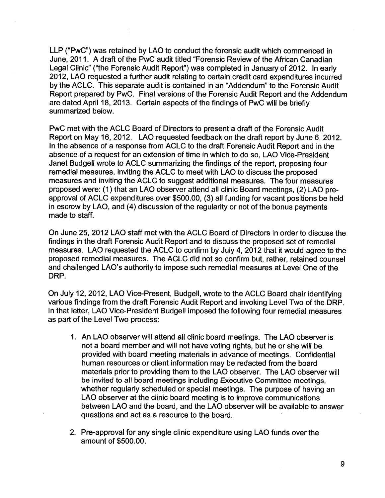LLP ("PwC") was retained by LAO to conduct the forensic audit which commenced in June, 2011. A draft of the PwC audit titled "Forensic Review of the African Canadian Legal Clinic" ("the Forensic Audit Report") was completed in January of 2012. In early 2012, LAO requested <sup>a</sup> further audit relating to certain credit card expenditures incurred by the ACLC. This separate audit is contained in an "Addendum" to the Forensic Audit Report prepared by PwC. Final versions of the Forensic Audit Report and the Addendum are dated April 18, 2013. Certain aspects of the findings of PwC will be briefly summarized below.

PwC met with the ACLC Board of Directors to present <sup>a</sup> draft of the Forensic Audit Report on May 16, 2012. LAO requested feedback on the draft report by June 6, 2012. In the absence of <sup>a</sup> response from ACLC to the draft Forensic Audit Report and in the absence of <sup>a</sup> request for an extension of time in which to do so, LAO Vice-President Janet Budgell wrote to ACLC summarizing the findings of the report, proposing four remedial measures, inviting the ACLC to meet with LAO to discuss the proposed measures and inviting the ACLC to suggest additional measures. The four measures proposed were: (1) that an LAO observer attend all clinic Board meetings, (2) LAO preapproval of ACLC expenditures over \$500.00, (3) all funding for vacant positions be held in escrow by LAO, and (4) discussion of the regularity or not of the bonus payments made to staff.

On June 25, 2012 LAO staff met with the ACLC Board of Directors in order to discuss the findings in the draft Forensic Audit Report and to discuss the proposed set of remedial measures. LAO requested the ACLC to confirm by July 4, 2012 that it would agree to the proposed remedial measures. The ACLC did not so confirm but, rather, retained counsel and challenged LAO's authority to impose such remedial measures at Level One of the DRP.

On July 12, 2012, LAO Vice-Present, Budgell, wrote to the ACLC Board chair identifying various findings from the draft Forensic Audit Report and invoking Level Two of the DRP. In that letter, LAO Vice-President Budgell imposed the following four remedial measures as part of the Level Two process:

- 1. An LAO observer will attend all clinic board meetings. The LAO observer is not <sup>a</sup> board member and will not have voting rights, but he or she will be provided with board meeting materials in advance of meetings. Confidential human resources or client information may be redacted from the board materials prior to providing them to the LAO observer. The LAO observer will be invited to all board meetings including Executive Committee meetings, whether regularly scheduled or special meetings. The purpose of having an LAO observer at the clinic board meeting is to improve communications between LAO and the board, and the LAO observer will be available to answer questions and act as <sup>a</sup> resource to the board. '
- 2. Pre-approval for any single clinic expenditure using LAO funds over the amount of \$500.00.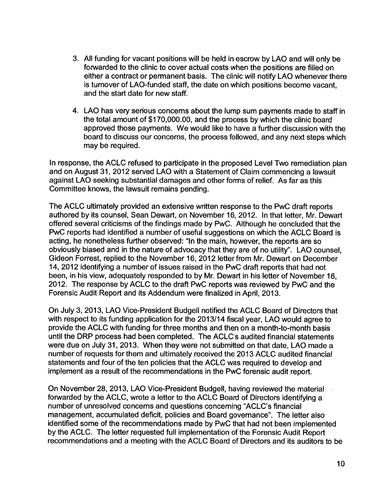- 3. All funding for vacant positions will be held in escrow by LAO and will only be forwarded to the clinic to cover actual costs when the positions are filled on either <sup>a</sup> contract or permanent basis. The clinic will notify LAO whenever there is turnover of LAO-funded staff, the date on which positions become vacant, and the start date for new staff.
- 4. LAO has very serious concems about the lump sum payments made to staff in the total amount of \$170,000.00, and the process by which the clinic board approved those payments. We would like to have <sup>a</sup> further discussion with the board to discuss our concerns, the process followed, and any next steps which may be required.

In response, the ACLC refused to participate in the proposed Level Two remediation plan and on August 31, 2012 served LAO with <sup>a</sup> Statement of Claim commencing <sup>a</sup> lawsuit against LAO seeking substantial damages and other forms of relief. As far as this Committee knows, the lawsuit remains pending.

The ACLC ultimately provided an extensive written response to the PwC draft reports authored by its counsel, Sean Dewart, on November 16, 2012. In that letter, Mr. Dewart offered several criticisms of the findings made by PwC. Although he concluded that the PwC reports had identified <sup>a</sup> number of useful suggestions on which the ACLC Board is acting, he nonetheless further observed: "In the main, however, the reports are so obviously biased and in the nature of advocacy that they are of no utility". LAO counsel, Gideon Forrest, replied to the November 16, 2012 letter from Mr. Dewart on December 14, 2012 identifying <sup>a</sup> number of issues raised in the PwC draft reports that had not been, in his view, adequately responded to by Mr. Dewart in his letter of November 16, 2012. The response by ACLC to the draft PwC reports was reviewed by PwC and the Forensic Audit Report and its Addendum were finalized in April, 2013.

On July 3, 2013, LAO Vice-President Budgell notified the ACLC Board of Directors that with respect to its funding application for the 2013/14 fiscal year, LAO would agree to provide the ACLC with funding for three months and then on <sup>a</sup> month-to-month basis until the DRP process had been completed. The ACLC's audited financial statements were due on July 31, 2013. When they were not submitted on that date, LAO made <sup>a</sup> number of requests for them and ultimately received the 2013 ACLC audited financial statements and four of the ten policies that the ACLC was required to develop and implement as <sup>a</sup> result of the recommendations in the PwC forensic audit report.

On November 28, 2013, LAO Vice-President Budgell, having reviewed the material forwarded by the ACLC, wrote <sup>a</sup> letter to the ACLC Board of Directors identifying <sup>a</sup> number of unresolved concerns and questions concerning "ACLC's financial management, accumulated deficit, policies and Board governance". The letter also identified some of the recommendations made by PwC that had not been implemented by the ACLC. The letter requested full implementation of the Forensic Audit Report recommendations and <sup>a</sup> meeting with the ACLC Board of Directors and its auditors to be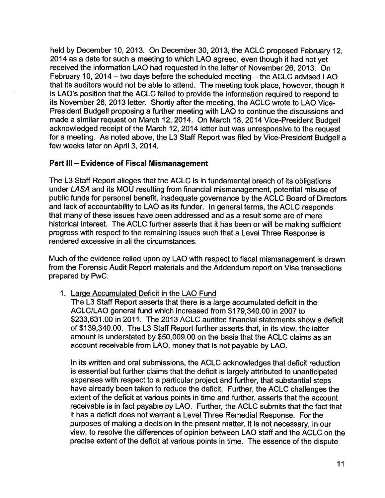held by December 10, 2013. On December 30, 2013, the ACLC proposed February 12, 2014 as <sup>a</sup> date for such <sup>a</sup> meeting to which LAO agreed, even though it had not yet received the information LAO had requested in the letter of November 26, 2013. On February 10, 2014 – two days before the scheduled meeting  $-$  the ACLC advised LAO that its auditors would not be able to attend. The meeting took place, however, though it is LAO's position that the ACLC failed to provide the information required to respond to its November 26, 2013 letter. Shortly after the meeting, the ACLC wrote to LAO Vice-President Budgell proposing <sup>a</sup> further meeting with LAO to continue the discussions and made <sup>a</sup> similar request on March 12, 2014. On March 18, 2014 Vice-President Budgell acknowledged receipt of the March 12, 2014 letter but was unresponsive to the request for <sup>a</sup> meeting. As noted above, the L3 Staff Report was filed by Vice-President Budgell <sup>a</sup> few weeks later on April 3, 2014.

# Part III - Evidence of Fiscal Mismanagement

The L3 Staff Report alleges that the ACLC is in fundamental breach of its obligations under LASA and its MOU resulting from financial mismanagement, potential misuse of public funds for personal benefit, inadequate governance by the ACLC Board of Directors and lack of accountability to LAO as its funder. In general terms, the ACLC responds that many of these issues have been addressed and as <sup>a</sup> result some are of mere historical interest. The ACLC further asserts that it has been or will be making sufficient progress with respect to the remaining issues such that <sup>a</sup> Level Three Response is rendered excessive in all the circumstances.

Much of the evidence relied upon by LAO with respect to fiscal mismanagement is drawn from the Forensic Audit Report materials and the Addendum report on Visa transactions prepared by PwC.

1. Large Accumulated Deficit in the LAO Fund

The L3 Staff Report asserts that there is <sup>a</sup> large accumulated deficit in the ACLC/LAO general fund which increased from \$179,340.00 in 2007 to \$233,631.00 in 2011. The 2013 ACLC audited financial statements show <sup>a</sup> deficit of \$139,340.00. The L3 Staff Report further asserts that, in its view, the latter amount is understated by \$50,009.00 on the basis that the ACLC claims as an account receivable from LAO, money that is not payable by LAO.

In its written and oral submissions, the ACLC acknowledges that deficit reduction is essential but further claims that the deficit is largely attributed to unanticipated expenses with respect to <sup>a</sup> particular project and further, that substantial steps have already been taken to reduce the deficit. Further, the ACLC challenges the extent of the deficit at various points in time and further, asserts that the account receivable is in fact payable by LAO. Further, the ACLC submits that the fact that it has <sup>a</sup> deficit does not warrant <sup>a</sup> Level Three Remedial Response. For the purposes of making <sup>a</sup> decision in the present matter, it is not necessary, in our view, to resolve the differences of opinion between LAO staff and the ACLC on the precise extent of the deficit at various points in time. The essence of the dispute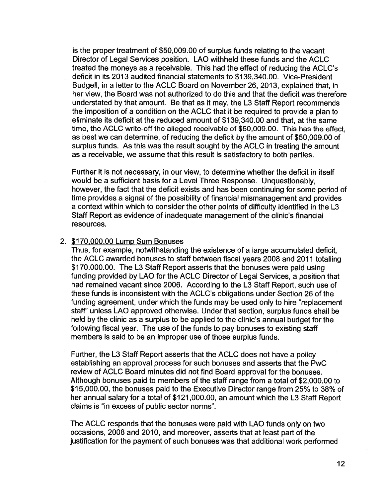is the proper treatment of \$50,009.00 of surplus funds relating to the vacant Director of Legal Services position. LAO withheld these funds and the ACLC treated the moneys as <sup>a</sup> receivable. This had the effect of reducing the ACLC's deficit in its 2013 audited financial statements to \$139,340.00. Vice-President Budgell, in <sup>a</sup> letter to the ACLC Board on November 26, 2013, explained that, in her view, the Board was not authorized to do this and that the deficit was therefore understated by that amount. Be that as it may, the L3 Staff Report recommends the imposition of <sup>a</sup> condition on the ACLC that it be required to provide <sup>a</sup> plan to eliminate its deficit at the reduced amount of \$139,340.00 and that, at the same time, the ACLC write-off the alleged receivable of \$50,009.00. This has the effect, as best we can determine, of reducing the deficit by the amount of \$50,009.00 of surplus funds. As this was the result sought by the ACLC in treating the amount as <sup>a</sup> receivable, we assume that this result is satisfactory to both parties.

Further it is not necessary, in our view, to determine whether the deficit in itself would be <sup>a</sup> sufficient basis for <sup>a</sup> Level Three Response. Unquestionably, however, the fact that the deficit exists and has been continuing for some period of time provides <sup>a</sup> signal of the possibility of financial mismanagement and provides <sup>a</sup> context within which to consider the other points of difficulty identified in the L3 Staff Report as evidence of inadequate management of the clinic's financial resources.

### \$170,000.00 Lump Sum Bonuses

Thus, for example, notwithstanding the existence of <sup>a</sup> large accumulated deficit, the ACLC awarded bonuses to staff between fiscal years 2008 and 2011 totalling \$170.000.00. The L3 Staff Report asserts that the bonuses were paid using funding provided by LAO for the ACLC Director of Legal Services, <sup>a</sup> position that had remained vacant since 2006. According to the L3 Staff Report, such use of these funds is inconsistent with the ACLC's obligations under Section 26 of the funding agreement, under which the funds may be used only to hire "replacement" staff" unless LAO approved otherwise. Under that section, surplus funds shall be held by the clinic as <sup>a</sup> surplus to be applied to the clinic's annual budget for the following fiscal year. The use of the funds to pay bonuses to existing staff members is said to be an improper use of those surplus funds.

Further, the L3 Staff Report asserts that the ACLC does not have <sup>a</sup> policy establishing an approval process for such bonuses and asserts that the PwC review of ACLC Board minutes did not find Board approval for the bonuses. Although bonuses paid to members of the staff range from <sup>a</sup> total of \$2,000.00 to \$15,000.00, the bonuses paid to the Executive Director range from 25% to 38% of her annual salary for <sup>a</sup> total of \$121,000.00, an amount which the L3 Staff Report claims is "in excess of public sector norms".

The ACLC responds that the bonuses were paid with LAO funds only on two occasions, 2008 and 2010, and moreover, asserts that at least part of the justification for the payment of such bonuses was that additional work performed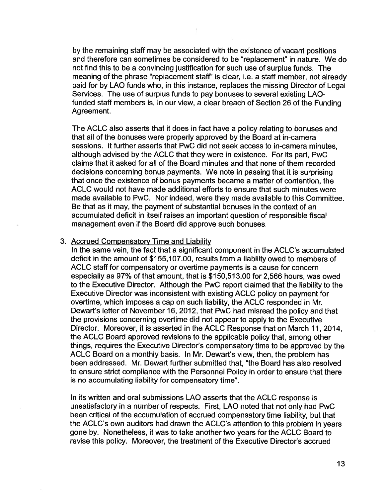by the remaining staff may be associated with the existence of vacant positions and therefore can sometimes be considered to be "replacement" in nature. We do not find this to be <sup>a</sup> convincing justification for such use of surplus funds. The meaning of the phrase "replacement staff" is clear, i.e. <sup>a</sup> staff member, not already paid for by LAO funds who, in this instance, replaces the missing Director of Legal Services. The use of surplus funds to pay bonuses to several existing LAOfunded staff members is, in our view, <sup>a</sup> clear breach of Section 26 of the Funding Agreement.

The ACLC also asserts that it does in fact have <sup>a</sup> policy relating to bonuses and that all of the bonuses were properly approved by the Board at in-camera sessions. It further asserts that PwC did not seek access to in-camera minutes, although advised by the ACLC that they were in existence. For its part, PwC claims that it asked for all of the Board minutes and that none of them recorded decisions concerning bonus payments. We note in passing that it is surprising that once the existence of bonus payments became <sup>a</sup> matter of contention, the ACLC would not have made additional efforts to ensure that such minutes were made available to PwC. Nor indeed, were they made available to this Committee. Be that as it may, the payment of substantial bonuses in the context of an accumulated deficit in itself raises an important question of responsible fiscal management even if the Board did approve such bonuses.

#### 3. Accrued Compensatory Time and Liability

In the same vein, the fact that <sup>a</sup> significant component in the ACLC's accumulated deficit in the amount of \$155,107.00, results from <sup>a</sup> liability owed to members of ACLC staff for compensatory or overtime payments is <sup>a</sup> cause for concern especially as 97% of that amount, that is \$150,513.00 for 2,566 hours, was owed to the Executive Director. Although the PwC report claimed that the liability to the Executive Director was inconsistent with existing ACLC policy on payment for overtime, which imposes <sup>a</sup> cap on such liability, the ACLC responded in Mr. Dewart's letter of November 16, 2012, that PwC had misread the policy and that the provisions concerning overtime did not appear to apply to the Executive Director. Moreover, it is asserted in the ACLC Response that on March 11, 2014, the ACLC Board approved revisions to the applicable policy that, among other things, requires the Executive Director's compensatory time to be approved by the ACLC Board on <sup>a</sup> monthly basis. In Mr. Dewart's view, then, the problem has been addressed. Mr. Dewart further submitted that, "the Board has also resolved to ensure strict compliance with the Personnel Policy in order to ensure that there is no accumulating liability for compensatory time".

In its written and oral submissions LAO asserts that the ACLC response is unsatisfactory in <sup>a</sup> number of respects. First, LAO noted that not only had PwC been critical of the accumulation of accrued compensatory time liability, but that the ACLC's own auditors had drawn the ACLC's attention to this problem in years gone by. Nonetheless, it was to take another two years for the ACLC Board to revise this policy. Moreover, the treatment of the Executive Director's accrued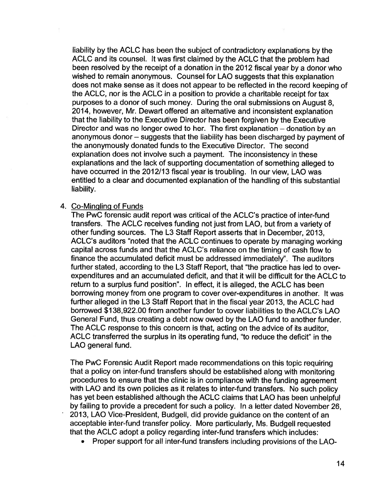liability by the ACLC has been the subject of contradictory explanations by the ACLC and its counsel. It was first claimed by the ACLC that the problem had been resolved by the receipt of a donation in the 2012 fiscal year by a donor who wished to remain anonymous. Counsel for LAO suggests that this explanation does not make sense as it does not appear to be reflected in the record keeping of the ACLC, nor is the ACLC in a position to provide <sup>a</sup> charitable receipt for tax purposes to <sup>a</sup> donor of such money. During the oral submissions on August 8, 2014, however, Mr. Dewart offered an altemative and inconsistent explanation that the liability to the Executive Director has been forgiven by the Executive Director and was no longer owed to her. The first explanation – donation by an anonymous donor — suggests that the liability has been discharged by payment of the anonymously donated funds to the Executive Director. The second explanation does not involve such <sup>a</sup> payment. The inconsistency in these explanations and the lack of supporting documentation of something alleged to have occurred in the 2012/13 fiscal year is troubling. In our view, LAO was entitled to <sup>a</sup> clear and documented explanation of the handling of this substantial liability.

#### Co-Mingling of Funds

The PwC forensic audit report was critical of the ACLC's practice of inter-fund transfers. The ACLC receives funding not just from LAO, but from <sup>a</sup> variety of other funding sources. The L3 Staff Report asserts that in December, 2013, ACLC's auditors "noted that the ACLC continues to operate by managing working capital across funds and that the ACLC's reliance on the timing of cash flow to finance the accumulated deficit must be addressed immediately". The auditors further stated, according to the L3 Staff Report, that "the practice has led to overexpenditures and an accumulated deficit, and that it will be difficult for the ACLC to return to <sup>a</sup> surplus fund position". In effect, it is alleged, the ACLC has been borrowing money from one program to cover over-expenditures in another. It was further alleged in the L3 Staff Report that in the fiscal year 2013, the ACLC had borrowed \$138,922.00 from another funder to cover liabilities to the ACLC's LAO General Fund, thus creating <sup>a</sup> debt now owed by the LAO fund to another funder. The ACLC response to this concern is that, acting on the advice of its auditor, ACLC transferred the surplus in its operating fund, "to reduce the deficit" in the LAO general fund.

The PwC Forensic Audit Report made recommendations on this topic requiring that <sup>a</sup> policy on inter-fund transfers should be established along with monitoring procedures to ensure that the clinic is in compliance with the funding agreement with LAO and its own policies as it relates to inter-fund transfers. No such policy has yet been established although the ACLC claims that LAO has been unhelpful by failing to provide a precedent for such a policy. In a letter dated November 26 2013, LAO Vice-President, Budgell, did provide guidance on the content of an acceptable inter-fund transfer policy. More particularly, Ms. Budgell requested that the ACLC adopt <sup>a</sup> policy regarding inter-fund transfers which includes:

0 Proper support for all inter-fund transfers including provisions of the LAO-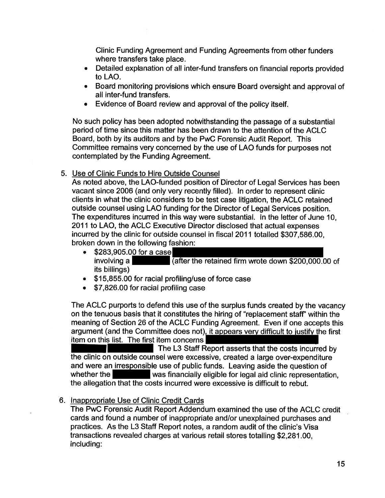Clinic Funding Agreement and Funding Agreements from other funders where transfers take place.

- 0 Detailed explanation of all inter-fund transfers on financial reports provided to LAO.
- Board monitoring provisions which ensure Board oversight and approval of all inter-fund transfers.
- Evidence of Board review and approval of the policy itself.

No such policy has been adopted notwithstanding the passage of <sup>a</sup> substantial period of time since this matter has been drawn to the attention of the ACLC Board, both by its auditors and by the PwC Forensic Audit Report. This Committee remains very concerned by the use of LAO funds for purposes not contemplated by the Funding Agreement.

Use of Clinic Funds to Hire Outside Counsel

As noted above, the LAO-funded position of Director of Legal Services has been vacant since 2006 (and only very recently filled). In order to represent clinic clients in what the clinic considers to be test case litigation, the ACLC retained outside counsel using LAO funding for the Director of Legal Services position. The expenditures incurred in this way were substantial. In the letter of June 10, 2011 to LAO, the ACLC Executive Director disclosed that actual expenses incurred by the clinic for outside counsel in fiscal 2011 totalled \$307,586.00, broken down in the following fashion:

- \$283,905.00 for a case involving a  $\sqrt{\text{after the retained firm wrote down $200,000.00 of}}$ its billings)
- \$15,855.00 for racial profiling/use of force case
- \$7,826.00 for racial profiling case

The ACLC purports to defend this use of the surplus funds created by the vacancy on the tenuous basis that it constitutes the hiring of "replacement staff" within the meaning of Section 26 of the ACLC Funding Agreement. Even if one accepts this argument (and the Committee does not), it appears very difficult to justify the first item on this list. The first item concerns

The L3 Staff Report asserts that the costs incurred by the clinic on outside counsel were excessive, created <sup>a</sup> large over-expenditure and were an irresponsible use of public funds. Leaving aside the question of whether the was financially eligible for legal aid clinic representation, the allegation that the costs incurred were excessive is difficult to rebut.

6. Inappropriate Use of Clinic Credit Cards

The PwC Forensic Audit Report Addendum examined the use of the ACLC credit cards and found <sup>a</sup> number of inappropriate andlor unexplained purchases and practices. As the L3 Staff Report notes, <sup>a</sup> random audit of the clinic's Visa transactions revealed charges at various retail stores totalling \$2,281.00, including: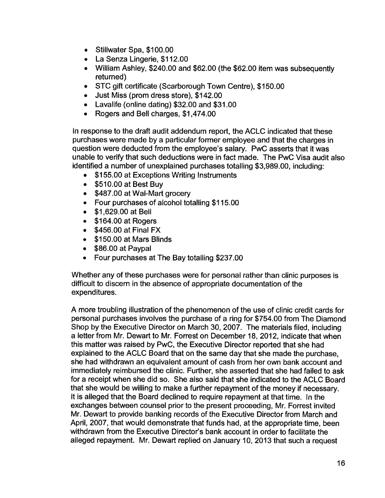- <sup>o</sup> Stillwater Spa, \$100.00
- <sup>o</sup> La Senza Lingerie, \$112.00
- 0 William Ashley, \$240.00 and \$62.00 (the \$62.00 item was subsequently returned)
- STC gift certificate (Scarborough Town Centre), \$150.00
- Just Miss (prom dress store), \$142.00
- Lavalife (online dating) \$32.00 and \$31.00
- Rogers and Bell charges, \$1,474.00

In response to the draft audit addendum report, the ACLC indicated that these purchases were made by <sup>a</sup> particular fonner employee and that the charges in question were deducted from the emp1oyee's salary. PwC asserts that it was unable to verify that such deductions were in fact made. The PwC Visa audit also identified <sup>a</sup> number of unexplained purchases totalling \$3,989.00, including:

- \$155.00 at Exceptions Writing Instruments
- $\bullet$  \$510.00 at Best Buy
- \$487.00 at Wal-Mart grocery
- Four purchases of alcohol totalling \$115.00
- **\$1,629.00 at Bell**
- $\bullet$  \$164.00 at Rogers
- $\bullet$  \$456.00 at Final FX
- \$150.00 at Mars Blinds
- \$86.00 at Paypal
- Four purchases at The Bay totalling \$237.00

Whether any of these purchases were for personal rather than clinic purposes is difficult to discern in the absence of appropriate documentation of the expenditures.

A more troubling illustration of the phenomenon of the use of clinic credit cards for personal purchases involves the purchase of <sup>a</sup> ring for \$754.00 from The Diamond Shop by the Executive Director on March 30, 2007. The materials filed, including <sup>a</sup> letter from Mr. Dewart to Mr. Forrest on December 18, 2012, indicate that when this matter was raised by PwC, the Executive Director reported that she had explained to the ACLC Board that on the same day that she made the purchase, she had withdrawn an equivalent amount of cash from her own bank account and immediately reimbursed the clinic. Further, she asserted that she had failed to ask for <sup>a</sup> receipt when she did so. She also said that she indicated to the ACLC Board that she would be willing to make <sup>a</sup> further repayment of the money if necessary. It is alleged that the Board declined to require repayment at that time. In the exchanges between counsel prior to the present proceeding, Mr. Forrest invited Mr. Dewart to provide banking records of the Executive Director from March and April, 2007, that would demonstrate that funds had, at the appropriate time, been withdrawn from the Executive Director's bank account in order to facilitate the alleged repayment. Mr. Dewart replied on January 10, 2013 that such <sup>a</sup> request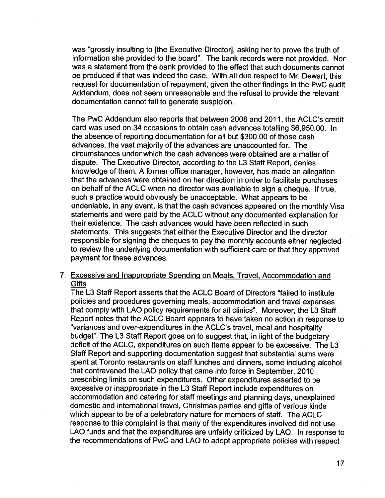was "grossly insulting to [the Executive Director], asking her to prove the truth of information she provided to the board". The bank records were not provided. Nor was <sup>a</sup> statement from the bank provided to the effect that such documents cannot be produced if that was indeed the case. With all due respect to Mr. Dewart, this request for documentation of repayment, given the other findings in the PwC audit Addendum, does not seem unreasonable and the refusal to provide the relevant documentation cannot fail to generate suspicion.

The PwC Addendum also reports that between 2008 and 2011, the ACLC's credit card was used on 34 occasions to obtain cash advances totalling \$6,950.00. In the absence of reporting documentation for all but \$300.00 of those cash advances, the vast majority of the advances are unaccounted for. The circumstances under which the cash advances were obtained are a matter of dispute. The Executive Director, according to the L3 Staff Report, denies knowledge of them. A former office manager, however, has made an allegation that the advances were obtained on her direction in order to facilitate purchases on behalf of the ACLC when no director was available to sign <sup>a</sup> cheque. If true, such <sup>a</sup> practice would obviously be unacceptable. What appears to be undeniable, in any event, is that the cash advances appeared on the monthly Visa statements and were paid by the ACLC without any documented explanation for their existence. The cash advances would have been reflected in such statements. This suggests that either the Executive Director and the director responsible for signing the cheques to pay the monthly accounts either neglected to review the underlying documentation with sufficient care or that they approved payment for these advances.

### Excessive and Inappropriate Spending on Meals, Travel, Accommodation and **Gifts**

The L3 Staff Report asserts that the ACLC Board of Directors "failed to institute policies and procedures governing meals, accommodation and travel expenses that comply with LAO policy requirements for all clinics". Moreover, the L3 Staff Report notes that the ACLC Board appears to have taken no action in response to "variances and over-expenditures in the ACLC's travel, meal and hospitality budget". The L3 Staff Report goes on to suggest that, in light of the budgetary deficit of the ACLC, expenditures on such items appear to be excessive. The L3 Staff Report and supporting documentation suggest that substantial sums were spent at Toronto restaurants on staff lunches and dinners, some including alcohol that contravened the LAO policy that came into force in September, 2010 prescribing limits on such expenditures. Other expenditures asserted to be excessive or inappropriate in the L3 Staff Report include expenditures on accommodation and catering for staff meetings and planning days, unexplained domestic and international travel, Christmas parties and gifts of various kinds which appear to be of <sup>a</sup> celebratory nature for members of staff. The ACLC response to this complaint is that many of the expenditures involved did not use LAO funds and that the expenditures are unfairly criticized by LAO. In response to the recommendations of PwC and LAO to adopt appropriate policies with respect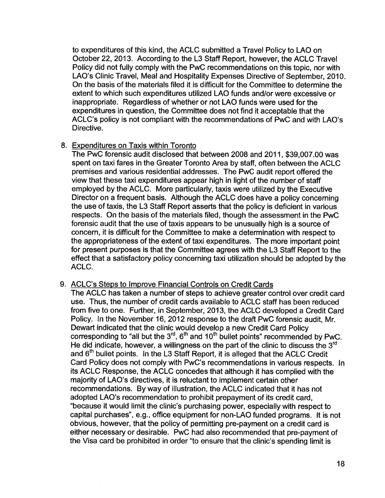to expenditures of this kind, the ACLC submitted <sup>a</sup> Travel Policy to LAO on October 22, 2013. According to the L3 Staff Report, however, the ACLC Travel Policy did not fully comply with the PwC recommendations on this topic, nor with LAO's Clinic Travel, Meal and Hospitality Expenses Directive of September, 2010. On the basis of the materials filed it is difficult for the Committee to determine the extent to which such expenditures utilized LAO funds and/or were excessive or inappropriate. Regardless of whether or not LAO funds were used for the expenditures in question, the Committee does not find it acceptable that the ACLC's policy is not compliant with the recommendations of PwC and with LAO's Directive.

#### Expenditures on Taxis within Toronto

The PwC forensic audit disclosed that between 2008 and 2011, \$39,007.00 was spent on taxi fares in the Greater Toronto Area by staff, often between the ACLC premises and various residential addresses. The PwC audit report offered the view that these taxi expenditures appear high in light of the number of staff employed by the ACLC. More particularly, taxis were utilized by the Executive Director on <sup>a</sup> frequent basis. Although the ACLC does have <sup>a</sup> policy concerning the use of taxis, the L3 Staff Report asserts that the policy is deficient in various respects. On the basis of the materials filed, though the assessment in the PwC forensic audit that the use of taxis appears to be unusually high is <sup>a</sup> source of concern, it is difficult for the Committee to make <sup>a</sup> determination with respect to the appropriateness of the extent of taxi expenditures. The more important point for present purposes is that the Committee agrees with the L3 Staff Report to the effect that <sup>a</sup> satisfactory policy concerning taxi utilization should be adopted by the ACLC.

#### ACLC's Steps to Improve Financial Controls on Credit Cards

The ACLC has taken <sup>a</sup> number of steps to achieve greater control over credit card use. Thus, the number of credit cards available to ACLC staff has been reduced from five to one. Further, in September, 2013, the ACLC developed <sup>a</sup> Credit Card Policy. In the November 16, 2012 response to the draft PwC forensic audit, Mr. Dewart indicated that the clinic would develop <sup>a</sup> new Credit Card Policy corresponding to "all but the  $3<sup>rd</sup>$ ,  $6<sup>th</sup>$  and  $10<sup>th</sup>$  bullet points" recommended by PwC. He did indicate, however, a willingness on the part of the clinic to discuss the  $3<sup>rd</sup>$ and 6<sup>th</sup> bullet points. In the L3 Staff Report, it is alleged that the ACLC Credit Card Policy does not comply with PwC's recommendations in various respects. In its ACLC Response, the ACLC concedes that although it has complied with the majority of LAO's directives, it is reluctant to implement certain other recommendations. By way of illustration, the ACLC indicated that it has not adopted LAO's recommendation to prohibit prepayment of its credit card, "because it would limit the clinic's purchasing power, especially with respect to capital purchases", e.g., office equipment for non-LAO funded programs. It is not obvious, however, that the policy of permitting pre-payment on <sup>a</sup> credit card is either necessary or desirable. PwC had also recommended that pre-payment of the Visa card be prohibited in order "to ensure that the clinic's spending limit is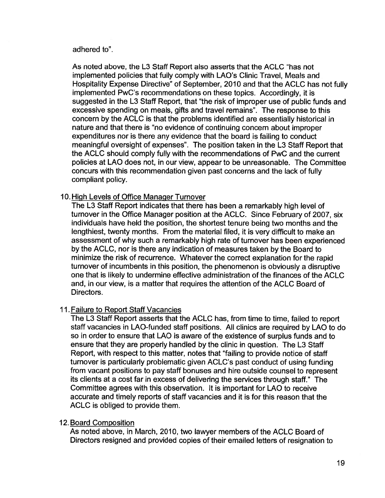#### adhered to".

As noted above, the L3 Staff Report also asserts that the ACLC "has not implemented policies that fully comply with LAO's Clinic Travel, Meals and Hospitality Expense Directive" of September, 2010 and that the ACLC has not fully implemented PwC's recommendations on these topics. Accordingly, it is suggested in the L3 Staff Report, that "the risk of improper use of public funds and excessive spending on meals, gifts and travel remains". The response to this concern by the ACLC is that the problems identified are essentially historical in nature and that there is "no evidence of continuing concem about improper expenditures nor is there any evidence that the board is failing to conduct meaningful oversight of expenses". The position taken in the L3 Staff Report that the ACLC should comply fully with the recommendations of PwC and the current policies at LAO does not, in our view, appear to be unreasonable. The Committee concurs with this recommendation given past concerns and the lack of fully compliant policy.

### 10. High Levels of Office Manager Turnover

The L3 Staff Report indicates that there has been <sup>a</sup> remarkably high level of turnover in the Office Manager position at the ACLC. Since February of 2007, six individuals have held the position, the shortest tenure being two months and the lengthiest, twenty months. From the material filed, it is very difficult to make an assessment of why such <sup>a</sup> remarkably high rate of turnover has been experienced by the ACLC, nor is there any indication of measures taken by the Board to minimize the risk of recurrence. Whatever the correct explanation for the rapid turnover of incumbents in this position, the phenomenon is obviously <sup>a</sup> disruptive one that is likely to undermine effective administration of the finances of the ACLC and, in our view, is <sup>a</sup> matter that requires the attention of the ACLC Board of Directors.

# 11. Failure to Report Staff Vacancies

The L3 Staff Report asserts that the ACLC has, from time to time, failed to report staff vacancies in LAO-funded staff positions. All clinics are required by LAO to do so in order to ensure that LAO is aware of the existence of surplus funds and to ensure that they are properly handled by the clinic in question. The L3 Staff Report, with respect to this matter, notes that "failing to provide notice of staff turnover is particularly problematic given ACLC's past conduct of using funding from vacant positions to pay staff bonuses and hire outside counsel to represent its clients at <sup>a</sup> cost far in excess of delivering the services through staff." The Committee agrees with this observation. It is important for LAO to receive accurate and timely reports of staff vacancies and it is for this reason that the ACLC is obliged to provide them.

#### 12 Board Composition

As noted above, in March, 2010, two lawyer members of the ACLC Board of Directors resigned and provided copies of their emailed letters of resignation to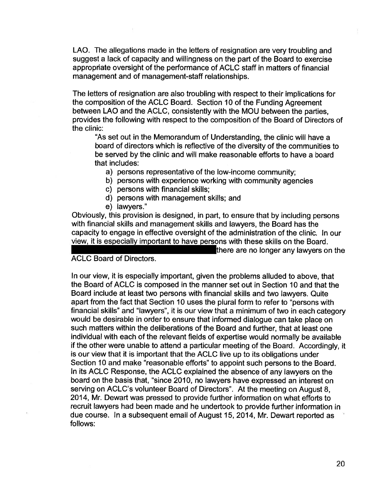LAO. The allegations made in the letters of resignation are very troubling and suggest <sup>a</sup> lack of capacity and willingness on the part of the Board to exercise appropriate oversight of the performance of ACLC staff in matters of financial management and of management-staff relationships.

The letters of resignation are also troubling with respect to their implications for the composition of the ACLC Board. Section 10 of the Funding Agreement between LAO and the ACLC, consistently with the MOU between the parties, provides the following with respect to the composition of the Board of Directors of the clinic:

"As set out in the Memorandum of Understanding, the clinic will have <sup>a</sup> board of directors which is reflective of the diversity of the communities to be served by the clinic and will make reasonable efforts to have <sup>a</sup> board that includes:

- a) persons representative of the low-income community;
- b) persons with experience working with community agencies
- c) persons with financial skills;
- d) persons with management skills; and
- e) lawyers."

Obviously, this provision is designed, in part, to ensure that by including persons with financial skills and management skills and lawyers, the Board has the capacity to engage in effective oversight of the administration of the clinic. In our view, it is especially important to have persons with these skills on the Board.

#### ACLC Board of Directors.

there are no longer any lawyers on the

In our view, it is especially important, given the problems alluded to above, that the Board of ACLC is composed in the manner set out in Section 10 and that the Board include at least two persons with financial skills and two lawyers. Quite apart from the fact that Section 10 uses the plural form to refer to "persons with financial skills" and "lawyers", it is our view that <sup>a</sup> minimum of two in each category would be desirable in order to ensure that informed dialogue can take place on such matters within the deliberations of the Board and further, that at least one individual with each of the relevant fields of expertise would normally be available if the other were unable to attend <sup>a</sup> particular meeting of the Board. Accordingly, it is our view that it is important that the ACLC live up to its obligations under Section 10 and make "reasonable efforts" to appoint such persons to the Board. In its ACLC Response, the ACLC explained the absence of any lawyers on the board on the basis that, "since 2010, no Iavvyers have expressed an interest on serving on ACLC's volunteer Board of Directors". At the meeting on August 8, 2014, Mr. Dewart was pressed to provide further information on what efforts to recruit lawyers had been made and he undertook to provide further information in due course. In <sup>a</sup> subsequent email of August 15, 2014, Mr. Dewart reported as ' follows: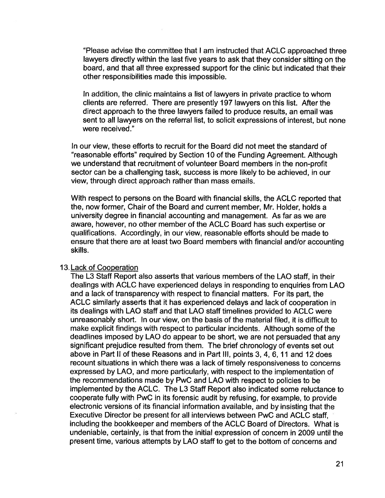"Please advise the committee that I am instructed that ACLC approached three lawyers directly within the last five years to ask that they consider sitting on the board, and that all three expressed support for the clinic but indicated that their other responsibilities made this impossible.

In addition, the clinic maintains a list of lawyers in private practice to whom clients are referred. There are presently 197 Iavvyers on this list. After the direct approach to the three lawyers failed to produce results, an email was sent to all lawyers on the referral list, to solicit expressions of interest, but none were received."

In our view, these efforts to recruit for the Board did not meet the standard of "reasonable efforts" required by Section 10 of the Funding Agreement. Although we understand that recruitment of volunteer Board members in the non-profit sector can be <sup>a</sup> challenging task, success is more likely to be achieved, in our view, through direct approach rather than mass emails.

With respect to persons on the Board with financial skills, the ACLC reported that the, now former, Chair of the Board and current member, Mr. Holder, holds <sup>a</sup> university degree in financial accounting and management. As far as we are aware, however, no other member of the ACLC Board has such expertise or qualifications. Accordingly, in our view, reasonable efforts should be made to ensure that there are at least two Board members with financial and/or accounting skills.

#### 13. Lack of Cooperation

The L3 Staff Report also asserts that various members of the LAO staff, in their dealings with ACLC have experienced delays in responding to enquiries from LAO and <sup>a</sup> lack of transparency with respect to financial matters. For its part, the ACLC similarly asserts that it has experienced delays and lack of cooperation in its dealings with LAO staff and that LAO staff timelines provided to ACLC were unreasonably short. In our view, on the basis of the material filed, it is difficult to make explicit findings with respect to particular incidents. Although some of the deadlines imposed by LAO do appear to be short, we are not persuaded that any significant prejudice resulted from them. The brief chronology of events set out above in Part ll of these Reasons and in Part III, points 3, 4, 6, 11 and 12 does recount situations in which there was <sup>a</sup> lack of timely responsiveness to concerns expressed by LAO, and more particularly, with respect to the implementation of the recommendations made by PwC and LAO with respect to policies to be implemented by the ACLC. The L3 Staff Report also indicated some reluctance to cooperate fully with PwC in its forensic audit by refusing, for example, to provide electronic versions of its financial information available, and by insisting that the Executive Director be present for all interviews between PwC and ACLC staff, including the bookkeeper and members of the ACLC Board of Directors. What is undeniable, certainly, is that from the initial expression of concern in 2009 until the present time, various attempts by LAO staff to get to the bottom of concerns and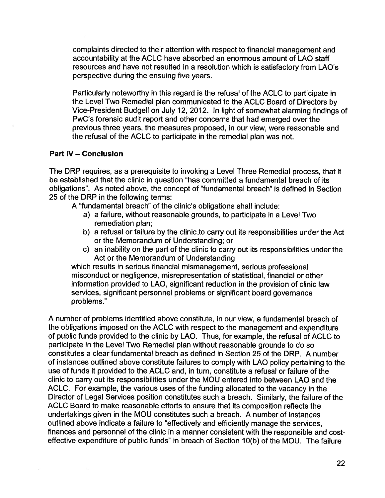complaints directed to their attention with respect to financial management and accountability at the ACLC have absorbed an enormous amount of LAO staff resources and have not resulted in <sup>a</sup> resolution which is satisfactory from LAO's perspective during the ensuing five years.

Particularly noteworthy in this regard is the refusal of the ACLC to participate in the Level Two Remedial plan communicated to the ACLC Board of Directors by Vice-President Budgell on July 12, 2012. In light of somewhat alarming findings of PwC's forensic audit report and other concerns that had emerged over the previous three years, the measures proposed, in our view, were reasonable and the refusal of the ACLC to participate in the remedial plan was not.

# Part IV - Conclusion

The DRP requires, as <sup>a</sup> prerequisite to invoking <sup>a</sup> Level Three Remedial process, that it be established that the clinic in question "has committed <sup>a</sup> fundamental breach of its obIigations". As noted above, the concept of "fundamentaI breach" is defined in Section 25 of the DRP in the following terms:

- A "fundamentaI breach" of the clinic's obligations shall include:
	- a) <sup>a</sup> failure, without reasonable grounds, to participate in <sup>a</sup> Level Two remediation plan;
	- b) <sup>a</sup> refusal or failure by the clinic .to carry out its responsibilities under the Act or the Memorandum of Understanding; or
	- c) an inability on the part of the clinic to carry out its responsibilities under the Act or the Memorandum of Understanding

which results in serious financial mismanagement, serious professional misconduct or negligence, misrepresentation of statistical, financial or other information provided to LAO, significant reduction in the provision of clinic law services, significant personnel problems or significant board governance problems."

A number of problems identified above constitute, in our view, <sup>a</sup> fundamental breach of the obligations imposed on the ACLC with respect to the management and expenditure of public funds provided to the clinic by LAO. Thus, for example, the refusal of ACLC to participate in the Level Two Remedial plan without reasonable grounds to do so constitutes a clear fundamental breach as defined in Section 25 of the DRP. A number of instances outlined above constitute failures to comply with LAO policy pertaining to the use of funds it provided to the ACLC and, in turn, constitute <sup>a</sup> refusal or failure of the clinic to carry out its responsibilities under the MOU entered into between LAO and the ACLC. For example, the various uses of the funding allocated to the vacancy in the Director of Legal Services position constitutes such <sup>a</sup> breach. Similarly, the failure of the ACLC Board to make reasonable efforts to ensure that its composition reflects the undertakings given in the MOU constitutes such <sup>a</sup> breach. A number of instances outlined above indicate <sup>a</sup> failure to "effectively and efficiently manage the services, finances and personnel of the clinic in <sup>a</sup> manner consistent with the responsible and costeffective expenditure of public funds" in breach of Section 10(b) of the MOU. The failure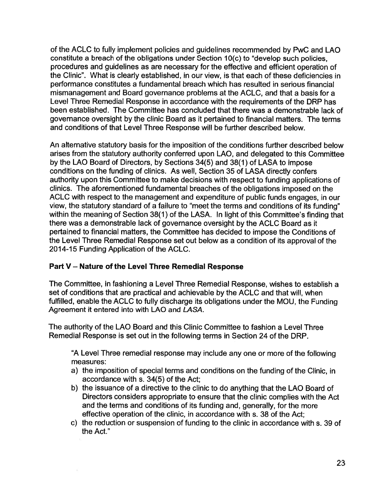of the ACLC to fully implement policies and guidelines recommended by PwC and LAO constitute a breach of the obligations under Section 10(c) to "develop such policies, procedures and guidelines as are necessary for the effective and efficient operation of the Clinic". What is clearly established, in our view, is that each of these deficiencies in performance constitutes <sup>a</sup> fundamental breach which has resulted in serious financial mismanagement and Board governance problems at the ACLC, and that <sup>a</sup> basis for <sup>a</sup> Level Three Remedial Response in accordance with the requirements of the DRP has been established. The Committee has concluded that there was a demonstrable lack of governance oversight by the clinic Board as it pertained to financial matters. The terms and conditions of that Level Three Response will be further described below.

An alternative statutory basis for the imposition of the conditions further described below arises from the statutory authority conferred upon LAO, and delegated to this Committee by the LAO Board of Directors, by Sections 34(5) and 38(1) of LASA to impose conditions on the funding of clinics. As well, Section 35 of LASA directly confers authority upon this Committee to make decisions with respect to funding applications of clinics. The aforementioned fundamental breaches of the obligations imposed on the ACLC with respect to the management and expenditure of public funds engages, in our view, the statutory standard of <sup>a</sup> failure to "meet the terms and conditions of its funding" within the meaning of Section 38(1) of the LASA. In light of this Committee's finding that there was <sup>a</sup> demonstrable lack of governance oversight by the ACLC Board as it pertained to financial matters, the Committee has decided to impose the Conditions of the Level Three Remedial Response set out below as <sup>a</sup> condition of its approval of the 2014-15 Funding Application of the ACLC.

# Part V - Nature of the Level Three Remedial Response

The Committee, in fashioning <sup>a</sup> Level Three Remedial Response, wishes to establish <sup>a</sup> set of conditions that are practical and achievable by the ACLC and that will, when fulfilled, enable the ACLC to fully discharge its obligations under the MOU, the Funding Agreement it entered into with LAO and LASA.

The authority of the LAO Board and this Clinic Committee to fashion <sup>a</sup> Level Three Remedial Response is set out in the following terms in Section 24 of the DRP.

"A Level Three remedial response may include any one or more of the following measures:

- a) the imposition of special terms and conditions on the funding of the Clinic, in accordance with s. 34(5) of the Act;
- b) the issuance of <sup>a</sup> directive to the clinic to do anything that the LAO Board of Directors considers appropriate to ensure that the clinic complies with the Act and the terms and conditions of its funding and, generally, for the more effective operation of the clinic, in accordance with s. 38 of the Act;
- c) the reduction or suspension of funding to the clinic in accordance with s. 39 of the Act."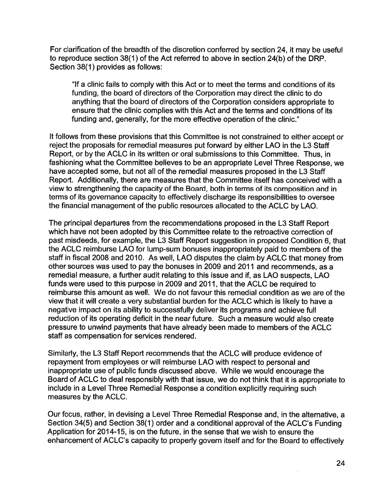For clarification of the breadth of the discretion conferred by section 24, it may be useful to reproduce section 38(1) of the Act referred to above in section 24(b) of the DRP. Section 38(1) provides as follows:

"lf <sup>a</sup> clinic fails to comply with this Act or to meet the terms and conditions of its funding, the board of directors of the Corporation may direct the clinic to do anything that the board of directors of the Corporation considers appropriate to ensure that the clinic complies with this Act and the terms and conditions of its funding and, generally, for the more effective operation of the clinic."

It follows from these provisions that this Committee is not constrained to either accept or reject the proposals for remedial measures put forward by either LAO in the L3 Staff Report, or by the ACLC in its written or oral submissions to this Committee. Thus, in fashioning what the Committee believes to be an appropriate Level Three Response, we have accepted some, but not all of the remedial measures proposed in the L3 Staff Report. Additionally, there are measures that the Committee itself has conceived with <sup>a</sup> view to strengthening the capacity of the Board, both in terms of its composition and in terms of its governance capacity to effectively discharge its responsibilities to oversee the financial management of the public resources allocated to the ACLC by LAO.

The principal departures from the recommendations proposed in the L3 Staff Report which have not been adopted by this Committee relate to the retroactive correction of past misdeeds, for example, the L3 Staff Report suggestion in proposed Condition 6, that the ACLC reimburse LAO for lump-sum bonuses inappropriately paid to members of the staff in fiscal 2008 and 2010. As well, LAO disputes the claim by ACLC that money from other sources was used to pay the bonuses in 2009 and 2011 and recommends, as <sup>a</sup> remedial measure, <sup>a</sup> further audit relating to this issue and if, as LAO suspects, LAO funds were used to this purpose in 2009 and 2011, that the ACLC be required to reimburse this amount as well. We do not favour this remedial condition as we are of the view that it will create <sup>a</sup> very substantial burden for the ACLC which is likely to have <sup>a</sup> negative impact on its ability to successfully deliver its programs and achieve full reduction of its operating deficit in the near future. Such <sup>a</sup> measure would also create pressure to unwind payments that have already been made to members of the ACLC staff as compensation for services rendered.

Similarly, the L3 Staff Report recommends that the ACLC will produce evidence of repayment from employees or will reimburse LAO with respect to personal and inappropriate use of public funds discussed above. While we would encourage the Board of ACLC to deal responsibly with that issue, we do not think that it is appropriate to include in <sup>a</sup> Level Three Remedial Response <sup>a</sup> condition explicitly requiring such measures by the ACLC.

Our focus, rather, in devising <sup>a</sup> Level Three Remedial Response and, in the alternative, <sup>a</sup> Section 34(5) and Section 38(1) order and <sup>a</sup> conditional approval of the ACLC's Funding Application for 2014-15, is on the future, in the sense that we wish to ensure the enhancement of ACLC's capacity to properly govern itself and for the Board to effectively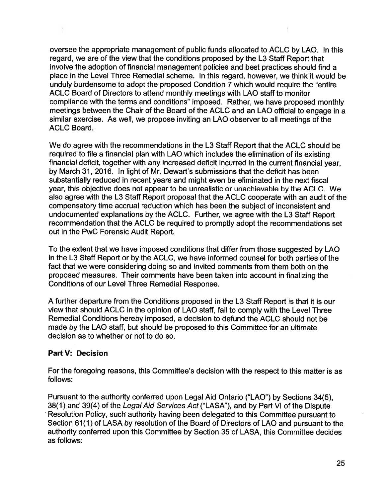oversee the appropriate management of public funds allocated to ACLC by LAO. In this regard, we are of the view that the conditions proposed by the L3 Staff Report that involve the adoption of financial management policies and best practices should find <sup>a</sup> place in the Level Three Remedial scheme. In this regard, however, we think it would be unduly burdensome to adopt the proposed Condition 7 which would require the "entire ACLC Board of Directors to attend monthly meetings with LAO staff to monitor compliance with the terms and conditions" imposed. Rather, we have proposed monthly meetings between the Chair of the Board of the ACLC and an LAO official to engage in <sup>a</sup> similar exercise. As well, we propose inviting an LAO observer to all meetings of the ACLC Board.

We do agree with the recommendations in the L3 Staff Report that the ACLC should be required to file <sup>a</sup> financial plan with LAO which includes the elimination of its existing financial deficit, together with any increased deficit incurred in the current financial year, by March 31, 2016. In light of Mr. Dewart's submissions that the deficit has been substantially reduced in recent years and might even be eliminated in the next fiscal year, this objective does not appear to be unrealistic or unachievable by the ACLC. We also agree with the L3 Staff Report proposal that the ACLC cooperate with an audit of the compensatory time accrual reduction which has been the subject of inconsistent and undocumented explanations by the ACLC. Further, we agree with the L3 Staff Report recommendation that the ACLC be required to promptly adopt the recommendations set out in the PwC Forensic Audit Report.

To the extent that we have imposed conditions that differ from those suggested by LAO in the L3 Staff Report or by the ACLC, we have informed counsel for both parties of the fact that we were considering doing so and invited comments from them both on the proposed measures. Their comments have been taken into account in finalizing the Conditions of our Level Three Remedial Response.

A further departure from the Conditions proposed in the L3 Staff Report is that it is our view that should ACLC in the opinion of LAO staff, fail to comply with the Level Three Remedial Conditions hereby imposed, <sup>a</sup> decision to defund the ACLC should not be made by the LAO staff, but should be proposed to this Committee for an ultimate decision as to whether or not to do so.

# Part V: Decision

For the foregoing reasons, this Committee's decision with the respect to this matter is as follows:

Pursuant to the authority conferred upon Legal Aid Ontario ("LAO") by Sections 34(5), 38(1) and 39(4) of the Legal Aid Services Act ("LASA"), and by Part VI of the Dispute Resolution Policy, such authority having been delegated to this Committee pursuant to Section 61(1) of LASA by resolution of the Board of Directors of LAO and pursuant to the authority conferred upon this Committee by Section 35 of LASA, this Committee decides as follows: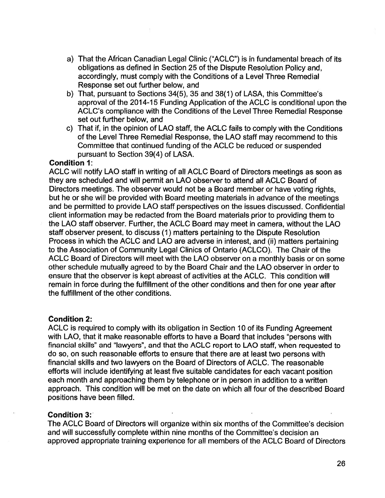- a) That the African Canadian Legal Clinic ("ACLC") is in fundamental breach of its obligations as defined in Section 25 of the Dispute Resolution Policy and, accordingly, must comply with the Conditions of <sup>a</sup> Level Three Remedial Response set out further below, and
- b) That, pursuant to Sections 34(5), 35 and 38(1) of LASA, this Committee's approval of the 2014-15 Funding Application of the ACLC is conditional upon the ACLC's compliance with the Conditions of the Level Three Remedial Response set out further below, and
- c) That if, in the opinion of LAO staff, the ACLC fails to comply with the Conditions of the Level Three Remedial Response, the LAO staff may recommend to this Committee that continued funding of the ACLC be reduced or suspended pursuant to Section 39(4) of LASA.

### Condition 1:

ACLC will notify LAO staff in writing of all ACLC Board of Directors meetings as soon as they are scheduled and will permit an LAO observer to attend all ACLC Board of Directors meetings. The observer would not be <sup>a</sup> Board member or have voting rights, but he or she will be provided with Board meeting materials in advance of the meetings and be permitted to provide LAO staff perspectives on the issues discussed. Confidential client information may be redacted from the Board materials prior to providing them to the LAO staff observer. Further, the ACLC Board may meet in camera, without the LAO staff observer present, to discuss (1) matters pertaining to the Dispute Resolution Process in which the ACLC and LAO are adverse in interest, and (ii) matters pertaining to the Association of Community Legal Clinics of Ontario (ACLCO). The Chair of the ACLC Board of Directors will meet with the LAO observer on <sup>a</sup> monthly basis or on some other schedule mutually agreed to by the Board Chair and the LAO observer in order to ensure that the observer is kept abreast of activities at the ACLC. This condition will remain in force during the fulfillment of the other conditions and then for one year after the fulfillment of the other conditions.

#### Condition 2:

ACLC is required to comply with its obligation in Section 10 of its Funding Agreement with LAO, that it make reasonable efforts to have <sup>a</sup> Board that includes "persons with financial skilIs" and "Iavvyers", and that the ACLC report to LAO staff, when requested to do so, on such reasonable efforts to ensure that there are at least two persons with financial skills and two Iavvyers on the Board of Directors of ACLC. The reasonable efforts will include identifying at least five suitable candidates for each vacant position each month and approaching them by telephone or in person in addition to <sup>a</sup> written approach. This condition will be met on the date on which all four of the described Board positions have been filled.

#### Condition 3:

The ACLC Board of Directors will organize within six months of the Committee's decision and will successfully complete within nine months of the Committee's decision an approved appropriate training experience for all members of the ACLC Board of Directors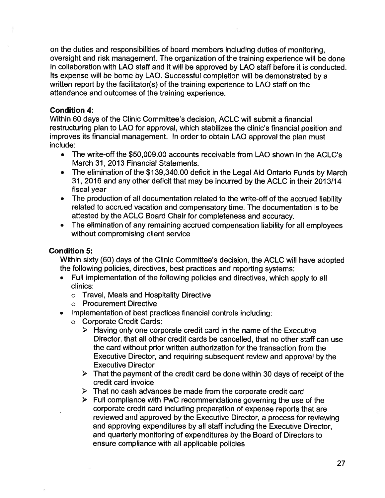on the duties and responsibilities of board members including duties of monitoring, oversight and risk management. The organization of the training experience will be done in collaboration with LAO staff and it will be approved by LAO staff before it is conducted. Its expense will be bome by LAO. Successful completion will be demonstrated by <sup>a</sup> written report by the facilitator(s) of the training experience to LAO staff on the attendance and outcomes of the training experience.

# Condition 4:

Within 60 days of the Clinic Committee's decision, ACLC will submit <sup>a</sup> financial restructuring plan to LAO for approval, which stabilizes the cIinic's financial position and improves its financial management. In order to obtain LAO approval the plan must include:

- The write-off the \$50,009.00 accounts receivable from LAO shown in the ACLC's March 31, 2013 Financial Statements.
- The elimination of the \$139,340.00 deficit in the Legal Aid Ontario Funds by March 31, 2016 and any other deficit that may be incurred by the ACLC in their 2013/14 fiscal year
- The production of all documentation related to the write-off of the accrued liability related to accrued vacation and compensatory time. The documentation is to be attested by the ACLC Board Chair for completeness and accuracy.
- The elimination of any remaining accrued compensation liability for all employees without compromising client service

# Condition 5:

Within sixty (60) days of the Clinic Committee's decision, the ACLC will have adopted the following policies, directives, best practices and reporting systems:

- Full implementation of the following policies and directives, which apply to all clinics:
	- 0 Travel, Meals and Hospitality Directive
	- 0 Procurement Directive
- Implementation of best practices financial controls including:
	- 0 Corporate Credit Cards:
		- $\triangleright$  Having only one corporate credit card in the name of the Executive Director, that all other credit cards be cancelled, that no other staff can use the card without prior written authorization for the transaction from the Executive Director, and requiring subsequent review and approval by the Executive Director
		- $\triangleright$  That the payment of the credit card be done within 30 days of receipt of the credit card invoice
		- $\triangleright$  That no cash advances be made from the corporate credit card
		- $\triangleright$  Full compliance with PwC recommendations governing the use of the corporate credit card including preparation of expense reports that are reviewed and approved by the Executive Director, <sup>a</sup> process for reviewing and approving expenditures by all staff including the Executive Director, and quarterly monitoring of expenditures by the Board of Directors to ensure compliance with all applicable policies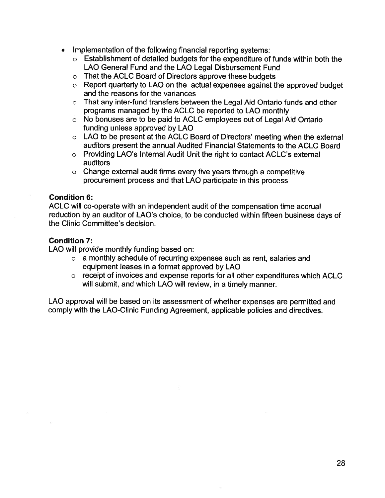- Implementation of the following financial reporting systems:
	- 0 Establishment of detailed budgets for the expenditure of funds within both the LAO General Fund and the LAO Legal Disbursement Fund
	- 0 That the ACLC Board of Directors approve these budgets
	- 0 Report quarterly to LAO on the actual expenses against the approved budget and the reasons for the variances
	- <sup>o</sup> That any inter-fund transfers between the Legal Aid Ontario funds and other programs managed by the ACLC be reported to LAO monthly
	- 0 No bonuses are to be paid to ACLC employees out of Legal Aid Ontario funding unless approved by LAO
	- <sup>o</sup> LAO to be present at the ACLC Board of Directors' meeting when the external auditors present the annual Audited Financial Statements to the ACLC Board
	- 0 Providing LAO's Internal Audit Unit the right to contact ACLC's external auditors
	- $\circ$  Change external audit firms every five years through a competitive procurement process and that LAO participate in this process

### Condition 6:

ACLC will co-operate with an independent audit of the compensation time accrual reduction by an auditor of LAO's choice, to be conducted within fifteen business days of the Clinic Committee's decision.

#### Condition 7:

LAO will provide monthly funding based on:

- 0 <sup>a</sup> monthly schedule of recurring expenses such as rent, salaries and equipment leases in <sup>a</sup> format approved by LAO
- 0 receipt of invoices and expense reports for all other expenditures which ACLC will submit, and which LAO will review, in <sup>a</sup> timely manner.

LAO approval will be based on its assessment of whether expenses are permitted and comply with the LAO-Clinic Funding Agreement, applicable policies and directives.